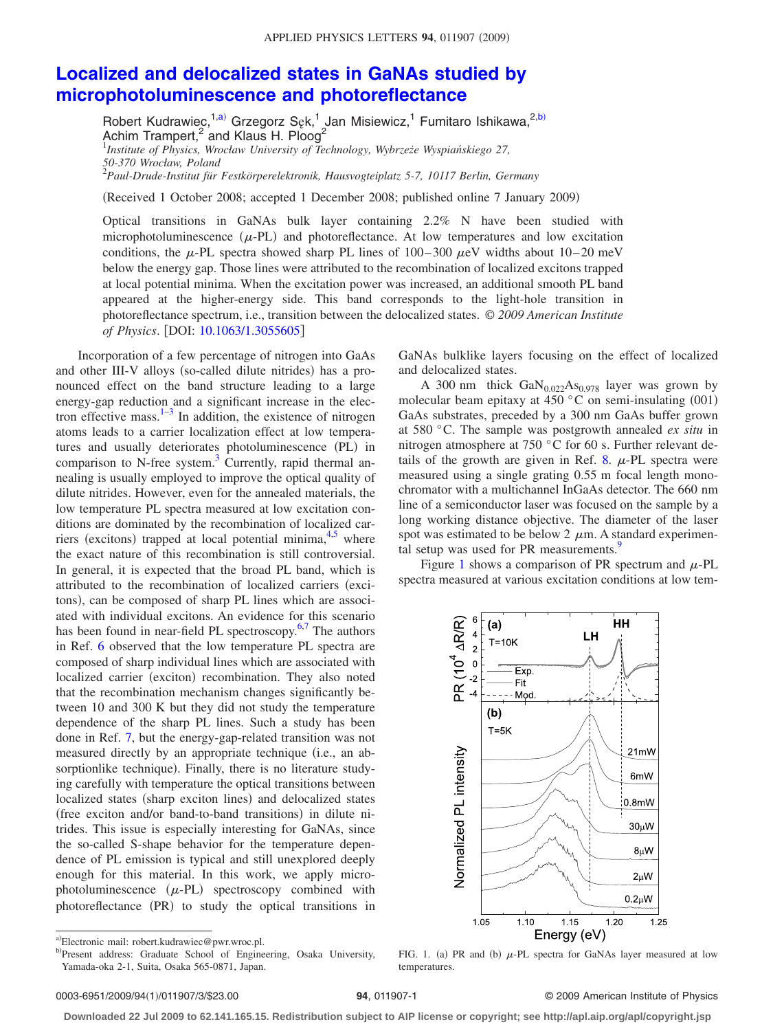## **[Localized and delocalized states in GaNAs studied by](http://dx.doi.org/10.1063/1.3055605) [microphotoluminescence and photoreflectance](http://dx.doi.org/10.1063/1.3055605)**

Robert Kudrawiec,<sup>1[,a](#page-0-0))</sup> Grzegorz Sęk,<sup>1</sup> Jan Misiewicz,<sup>1</sup> Fumitaro Ishikawa,<sup>2[,b](#page-0-1))</sup> Achim Trampert,<sup>2</sup> and Klaus H. Ploog<sup>2</sup><br><sup>1</sup>Institute of Physics, Wrocław University of Technology, Wybrzeże Wyspiańskiego 27, *50-370 Wrocław, Poland* 2 *Paul-Drude-Institut für Festkörperelektronik, Hausvogteiplatz 5-7, 10117 Berlin, Germany*

Received 1 October 2008; accepted 1 December 2008; published online 7 January 2009-

Optical transitions in GaNAs bulk layer containing 2.2% N have been studied with microphotoluminescence  $(\mu$ -PL) and photoreflectance. At low temperatures and low excitation conditions, the  $\mu$ -PL spectra showed sharp PL lines of 100–300  $\mu$ eV widths about 10–20 meV below the energy gap. Those lines were attributed to the recombination of localized excitons trapped at local potential minima. When the excitation power was increased, an additional smooth PL band appeared at the higher-energy side. This band corresponds to the light-hole transition in photoreflectance spectrum, i.e., transition between the delocalized states. © *2009 American Institute of Physics*. DOI: [10.1063/1.3055605](http://dx.doi.org/10.1063/1.3055605)

Incorporation of a few percentage of nitrogen into GaAs and other III-V alloys (so-called dilute nitrides) has a pronounced effect on the band structure leading to a large energy-gap reduction and a significant increase in the electron effective mass. $1-3$  In addition, the existence of nitrogen atoms leads to a carrier localization effect at low temperatures and usually deteriorates photoluminescence (PL) in comparison to N-free system. $3$  Currently, rapid thermal annealing is usually employed to improve the optical quality of dilute nitrides. However, even for the annealed materials, the low temperature PL spectra measured at low excitation conditions are dominated by the recombination of localized car-riers (excitons) trapped at local potential minima, <sup>4[,5](#page-2-3)</sup> where the exact nature of this recombination is still controversial. In general, it is expected that the broad PL band, which is attributed to the recombination of localized carriers (excitons), can be composed of sharp PL lines which are associated with individual excitons. An evidence for this scenario has been found in near-field PL spectroscopy. $6,7$  $6,7$  The authors in Ref. [6](#page-2-4) observed that the low temperature PL spectra are composed of sharp individual lines which are associated with localized carrier (exciton) recombination. They also noted that the recombination mechanism changes significantly between 10 and 300 K but they did not study the temperature dependence of the sharp PL lines. Such a study has been done in Ref. [7,](#page-2-5) but the energy-gap-related transition was not measured directly by an appropriate technique (i.e., an absorptionlike technique). Finally, there is no literature studying carefully with temperature the optical transitions between localized states (sharp exciton lines) and delocalized states (free exciton and/or band-to-band transitions) in dilute nitrides. This issue is especially interesting for GaNAs, since the so-called S-shape behavior for the temperature dependence of PL emission is typical and still unexplored deeply enough for this material. In this work, we apply microphotoluminescence  $(\mu$ -PL) spectroscopy combined with photoreflectance (PR) to study the optical transitions in

GaNAs bulklike layers focusing on the effect of localized and delocalized states.

A 300 nm thick  $GaN<sub>0.022</sub>As<sub>0.978</sub>$  layer was grown by molecular beam epitaxy at 450  $^{\circ}$ C on semi-insulating (001) GaAs substrates, preceded by a 300 nm GaAs buffer grown at 580 °C. The sample was postgrowth annealed *ex situ* in nitrogen atmosphere at 750 °C for 60 s. Further relevant de-tails of the growth are given in Ref. [8.](#page-2-6)  $\mu$ -PL spectra were measured using a single grating 0.55 m focal length monochromator with a multichannel InGaAs detector. The 660 nm line of a semiconductor laser was focused on the sample by a long working distance objective. The diameter of the laser spot was estimated to be below 2  $\mu$ m. A standard experimental setup was used for PR measurements.<sup>9</sup>

<span id="page-0-2"></span>Figure [1](#page-0-2) shows a comparison of PR spectrum and  $\mu$ -PL spectra measured at various excitation conditions at low tem-



FIG. 1. (a) PR and (b)  $\mu$ -PL spectra for GaNAs layer measured at low temperatures.

## **94**, 011907-1 © 2009 American Institute of Physics

**Downloaded 22 Jul 2009 to 62.141.165.15. Redistribution subject to AIP license or copyright; see http://apl.aip.org/apl/copyright.jsp**

<span id="page-0-1"></span><span id="page-0-0"></span>a)Electronic mail: robert.kudrawiec@pwr.wroc.pl.

b)Present address: Graduate School of Engineering, Osaka University, Yamada-oka 2-1, Suita, Osaka 565-0871, Japan.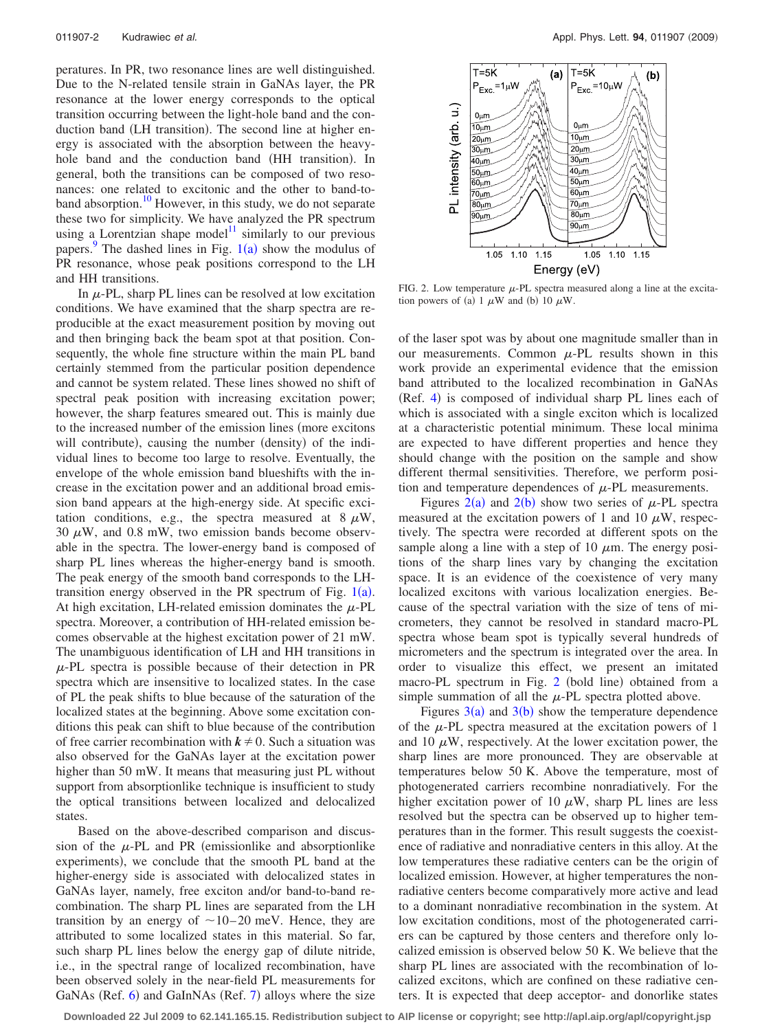peratures. In PR, two resonance lines are well distinguished. Due to the N-related tensile strain in GaNAs layer, the PR resonance at the lower energy corresponds to the optical transition occurring between the light-hole band and the conduction band (LH transition). The second line at higher energy is associated with the absorption between the heavyhole band and the conduction band (HH transition). In general, both the transitions can be composed of two resonances: one related to excitonic and the other to band-toband absorption.<sup>10</sup> However, in this study, we do not separate these two for simplicity. We have analyzed the PR spectrum using a Lorentzian shape model<sup>11</sup> similarly to our previous papers.<sup>[9](#page-2-7)</sup> The dashed lines in Fig.  $1(a)$  $1(a)$  show the modulus of PR resonance, whose peak positions correspond to the LH and HH transitions.

In  $\mu$ -PL, sharp PL lines can be resolved at low excitation conditions. We have examined that the sharp spectra are reproducible at the exact measurement position by moving out and then bringing back the beam spot at that position. Consequently, the whole fine structure within the main PL band certainly stemmed from the particular position dependence and cannot be system related. These lines showed no shift of spectral peak position with increasing excitation power; however, the sharp features smeared out. This is mainly due to the increased number of the emission lines (more excitons will contribute), causing the number (density) of the individual lines to become too large to resolve. Eventually, the envelope of the whole emission band blueshifts with the increase in the excitation power and an additional broad emission band appears at the high-energy side. At specific excitation conditions, e.g., the spectra measured at  $8 \mu W$ , 30  $\mu$ W, and 0.8 mW, two emission bands become observable in the spectra. The lower-energy band is composed of sharp PL lines whereas the higher-energy band is smooth. The peak energy of the smooth band corresponds to the LHtransition energy observed in the PR spectrum of Fig.  $1(a)$  $1(a)$ . At high excitation, LH-related emission dominates the  $\mu$ -PL spectra. Moreover, a contribution of HH-related emission becomes observable at the highest excitation power of 21 mW. The unambiguous identification of LH and HH transitions in  $\mu$ -PL spectra is possible because of their detection in PR spectra which are insensitive to localized states. In the case of PL the peak shifts to blue because of the saturation of the localized states at the beginning. Above some excitation conditions this peak can shift to blue because of the contribution of free carrier recombination with  $k \neq 0$ . Such a situation was also observed for the GaNAs layer at the excitation power higher than 50 mW. It means that measuring just PL without support from absorptionlike technique is insufficient to study the optical transitions between localized and delocalized states.

Based on the above-described comparison and discussion of the  $\mu$ -PL and PR (emissionlike and absorptionlike experiments), we conclude that the smooth PL band at the higher-energy side is associated with delocalized states in GaNAs layer, namely, free exciton and/or band-to-band recombination. The sharp PL lines are separated from the LH transition by an energy of  $\sim$  10–20 meV. Hence, they are attributed to some localized states in this material. So far, such sharp PL lines below the energy gap of dilute nitride, i.e., in the spectral range of localized recombination, have been observed solely in the near-field PL measurements for GaNAs (Ref. [6](#page-2-4)) and GaInNAs (Ref. [7](#page-2-5)) alloys where the size

<span id="page-1-0"></span>

FIG. 2. Low temperature  $\mu$ -PL spectra measured along a line at the excitation powers of (a) 1  $\mu$ W and (b) 10  $\mu$ W.

of the laser spot was by about one magnitude smaller than in our measurements. Common  $\mu$ -PL results shown in this work provide an experimental evidence that the emission band attributed to the localized recombination in GaNAs (Ref. [4](#page-2-2)) is composed of individual sharp PL lines each of which is associated with a single exciton which is localized at a characteristic potential minimum. These local minima are expected to have different properties and hence they should change with the position on the sample and show different thermal sensitivities. Therefore, we perform position and temperature dependences of  $\mu$ -PL measurements.

Figures  $2(a)$  $2(a)$  and  $2(b)$  show two series of  $\mu$ -PL spectra measured at the excitation powers of 1 and 10  $\mu$ W, respectively. The spectra were recorded at different spots on the sample along a line with a step of 10  $\mu$ m. The energy positions of the sharp lines vary by changing the excitation space. It is an evidence of the coexistence of very many localized excitons with various localization energies. Because of the spectral variation with the size of tens of micrometers, they cannot be resolved in standard macro-PL spectra whose beam spot is typically several hundreds of micrometers and the spectrum is integrated over the area. In order to visualize this effect, we present an imitated macro-PL spectrum in Fig. [2](#page-1-0) (bold line) obtained from a simple summation of all the  $\mu$ -PL spectra plotted above.

Figures  $3(a)$  $3(a)$  and  $3(b)$  show the temperature dependence of the  $\mu$ -PL spectra measured at the excitation powers of 1 and 10  $\mu$ W, respectively. At the lower excitation power, the sharp lines are more pronounced. They are observable at temperatures below 50 K. Above the temperature, most of photogenerated carriers recombine nonradiatively. For the higher excitation power of 10  $\mu$ W, sharp PL lines are less resolved but the spectra can be observed up to higher temperatures than in the former. This result suggests the coexistence of radiative and nonradiative centers in this alloy. At the low temperatures these radiative centers can be the origin of localized emission. However, at higher temperatures the nonradiative centers become comparatively more active and lead to a dominant nonradiative recombination in the system. At low excitation conditions, most of the photogenerated carriers can be captured by those centers and therefore only localized emission is observed below 50 K. We believe that the sharp PL lines are associated with the recombination of localized excitons, which are confined on these radiative centers. It is expected that deep acceptor- and donorlike states

**Downloaded 22 Jul 2009 to 62.141.165.15. Redistribution subject to AIP license or copyright; see http://apl.aip.org/apl/copyright.jsp**